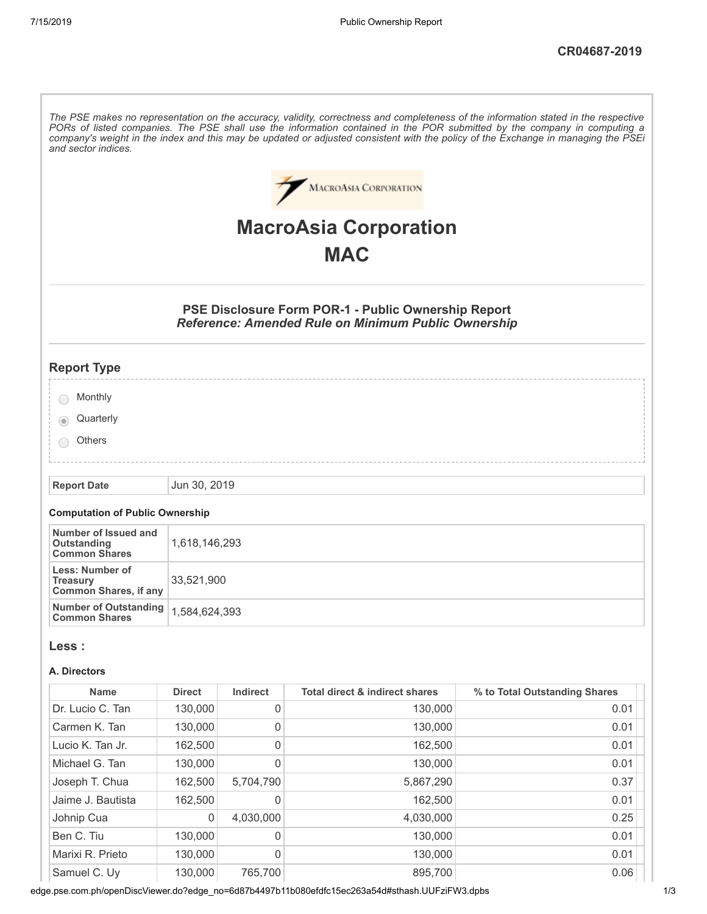| and sector indices.                                                |                              |           |                                                                                                                          | The PSE makes no representation on the accuracy, validity, correctness and completeness of the information stated in the respective<br>PORs of listed companies. The PSE shall use the information contained in the POR submitted by the company in computing a<br>company's weight in the index and this may be updated or adjusted consistent with the policy of the Exchange in managing the PSEi |  |  |
|--------------------------------------------------------------------|------------------------------|-----------|--------------------------------------------------------------------------------------------------------------------------|------------------------------------------------------------------------------------------------------------------------------------------------------------------------------------------------------------------------------------------------------------------------------------------------------------------------------------------------------------------------------------------------------|--|--|
|                                                                    |                              |           | <b>MACROASIA CORPORATION</b>                                                                                             |                                                                                                                                                                                                                                                                                                                                                                                                      |  |  |
|                                                                    | <b>MacroAsia Corporation</b> |           |                                                                                                                          |                                                                                                                                                                                                                                                                                                                                                                                                      |  |  |
|                                                                    |                              |           | <b>MAC</b>                                                                                                               |                                                                                                                                                                                                                                                                                                                                                                                                      |  |  |
|                                                                    |                              |           |                                                                                                                          |                                                                                                                                                                                                                                                                                                                                                                                                      |  |  |
|                                                                    |                              |           | <b>PSE Disclosure Form POR-1 - Public Ownership Report</b><br><b>Reference: Amended Rule on Minimum Public Ownership</b> |                                                                                                                                                                                                                                                                                                                                                                                                      |  |  |
| <b>Report Type</b>                                                 |                              |           |                                                                                                                          |                                                                                                                                                                                                                                                                                                                                                                                                      |  |  |
| Monthly                                                            |                              |           |                                                                                                                          |                                                                                                                                                                                                                                                                                                                                                                                                      |  |  |
| Quarterly                                                          |                              |           |                                                                                                                          |                                                                                                                                                                                                                                                                                                                                                                                                      |  |  |
| Others                                                             |                              |           |                                                                                                                          |                                                                                                                                                                                                                                                                                                                                                                                                      |  |  |
|                                                                    |                              |           |                                                                                                                          |                                                                                                                                                                                                                                                                                                                                                                                                      |  |  |
| <b>Report Date</b>                                                 | Jun 30, 2019                 |           |                                                                                                                          |                                                                                                                                                                                                                                                                                                                                                                                                      |  |  |
| <b>Computation of Public Ownership</b>                             |                              |           |                                                                                                                          |                                                                                                                                                                                                                                                                                                                                                                                                      |  |  |
| Number of Issued and<br>Outstanding<br><b>Common Shares</b>        | 1,618,146,293                |           |                                                                                                                          |                                                                                                                                                                                                                                                                                                                                                                                                      |  |  |
| Less: Number of<br><b>Treasury</b><br><b>Common Shares, if any</b> | 33,521,900                   |           |                                                                                                                          |                                                                                                                                                                                                                                                                                                                                                                                                      |  |  |
| <b>Number of Outstanding</b><br><b>Common Shares</b>               | 1,584,624,393                |           |                                                                                                                          |                                                                                                                                                                                                                                                                                                                                                                                                      |  |  |
| Less :                                                             |                              |           |                                                                                                                          |                                                                                                                                                                                                                                                                                                                                                                                                      |  |  |
| A. Directors                                                       |                              |           |                                                                                                                          |                                                                                                                                                                                                                                                                                                                                                                                                      |  |  |
| <b>Name</b>                                                        | <b>Direct</b>                | Indirect  | Total direct & indirect shares                                                                                           | % to Total Outstanding Shares                                                                                                                                                                                                                                                                                                                                                                        |  |  |
| Dr. Lucio C. Tan                                                   | 130,000                      | 0         | 130,000                                                                                                                  | 0.01                                                                                                                                                                                                                                                                                                                                                                                                 |  |  |
| Carmen K. Tan                                                      | 130,000                      | 0         | 130,000                                                                                                                  | 0.01                                                                                                                                                                                                                                                                                                                                                                                                 |  |  |
| Lucio K. Tan Jr.                                                   | 162,500                      | 0         | 162,500                                                                                                                  | 0.01                                                                                                                                                                                                                                                                                                                                                                                                 |  |  |
| Michael G. Tan                                                     | 130,000                      | 0         | 130,000                                                                                                                  | 0.01                                                                                                                                                                                                                                                                                                                                                                                                 |  |  |
| Joseph T. Chua                                                     | 162,500                      | 5,704,790 | 5,867,290                                                                                                                | 0.37                                                                                                                                                                                                                                                                                                                                                                                                 |  |  |
| Jaime J. Bautista                                                  | 162,500                      | 0         | 162,500                                                                                                                  | 0.01                                                                                                                                                                                                                                                                                                                                                                                                 |  |  |
| Johnip Cua                                                         | 0                            | 4,030,000 | 4,030,000                                                                                                                | 0.25                                                                                                                                                                                                                                                                                                                                                                                                 |  |  |
| Ben C. Tiu                                                         | 130,000                      | 0         | 130,000                                                                                                                  | 0.01                                                                                                                                                                                                                                                                                                                                                                                                 |  |  |
| Marixi R. Prieto                                                   | 130,000                      | 0         | 130,000                                                                                                                  | 0.01                                                                                                                                                                                                                                                                                                                                                                                                 |  |  |
| Samuel C. Uy                                                       | 130,000                      | 765,700   | 895,700<br>no-6d07b1107b11b000ofdfo15oo262o51d#otboob UUIE7iE\N2.dnbc                                                    | 0.06                                                                                                                                                                                                                                                                                                                                                                                                 |  |  |

edge.pse.com.ph/openDiscViewer.do?edge\_no=6d87b4497b11b080efdfc15ec263a54d#sthash.UUFziFW3.dpbs 1/3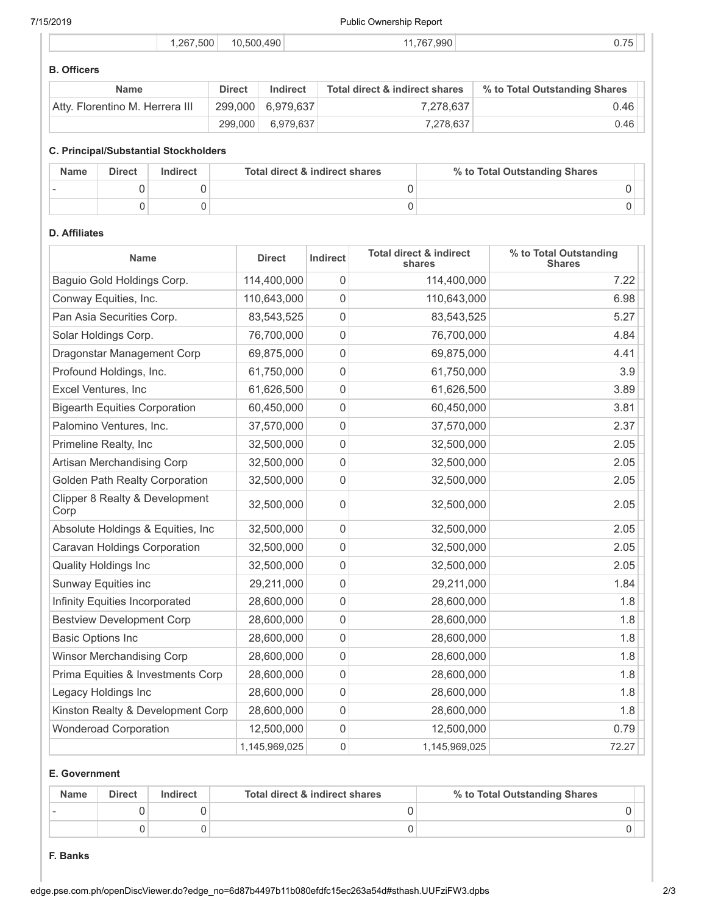7/15/2019 Public Ownership Report

|  | .267.500 | 10.500.490 | 1.767.990<br>11 | $\sim$ $\rightarrow$ $\sim$<br>U. I 5 |
|--|----------|------------|-----------------|---------------------------------------|
|  |          |            |                 |                                       |

# **B. Officers**

| <b>Name</b>                     | <b>Direct</b> | Indirect          | Total direct & indirect shares | % to Total Outstanding Shares |
|---------------------------------|---------------|-------------------|--------------------------------|-------------------------------|
| Atty. Florentino M. Herrera III |               | 299.000 6.979.637 | 7.278.637                      | 0.46                          |
|                                 | 299,000       | 6,979,637         | 7.278.637                      | $0.46$ $ $                    |

# **C. Principal/Substantial Stockholders**

| <b>Name</b> | <b>Direct</b> | Indirect | Total direct & indirect shares | % to Total Outstanding Shares |
|-------------|---------------|----------|--------------------------------|-------------------------------|
|             |               |          |                                |                               |
|             |               |          |                                |                               |

#### **D. Affiliates**

| <b>Name</b>                            | <b>Direct</b> | Indirect | <b>Total direct &amp; indirect</b><br>shares | % to Total Outstanding<br><b>Shares</b> |
|----------------------------------------|---------------|----------|----------------------------------------------|-----------------------------------------|
| Baguio Gold Holdings Corp.             | 114,400,000   | 0        | 114,400,000                                  | 7.22                                    |
| Conway Equities, Inc.                  | 110,643,000   | 0        | 110,643,000                                  | 6.98                                    |
| Pan Asia Securities Corp.              | 83,543,525    | 0        | 83,543,525                                   | 5.27                                    |
| Solar Holdings Corp.                   | 76,700,000    | 0        | 76,700,000                                   | 4.84                                    |
| Dragonstar Management Corp             | 69,875,000    | 0        | 69,875,000                                   | 4.41                                    |
| Profound Holdings, Inc.                | 61,750,000    | 0        | 61,750,000                                   | 3.9                                     |
| Excel Ventures, Inc                    | 61,626,500    | 0        | 61,626,500                                   | 3.89                                    |
| <b>Bigearth Equities Corporation</b>   | 60,450,000    | 0        | 60,450,000                                   | 3.81                                    |
| Palomino Ventures, Inc.                | 37,570,000    | 0        | 37,570,000                                   | 2.37                                    |
| Primeline Realty, Inc.                 | 32,500,000    | 0        | 32,500,000                                   | 2.05                                    |
| Artisan Merchandising Corp             | 32,500,000    | 0        | 32,500,000                                   | 2.05                                    |
| Golden Path Realty Corporation         | 32,500,000    | 0        | 32,500,000                                   | 2.05                                    |
| Clipper 8 Realty & Development<br>Corp | 32,500,000    | 0        | 32,500,000                                   | 2.05                                    |
| Absolute Holdings & Equities, Inc      | 32,500,000    | 0        | 32,500,000                                   | 2.05                                    |
| Caravan Holdings Corporation           | 32,500,000    | 0        | 32,500,000                                   | 2.05                                    |
| <b>Quality Holdings Inc</b>            | 32,500,000    | 0        | 32,500,000                                   | 2.05                                    |
| Sunway Equities inc                    | 29,211,000    | 0        | 29,211,000                                   | 1.84                                    |
| Infinity Equities Incorporated         | 28,600,000    | 0        | 28,600,000                                   | 1.8                                     |
| <b>Bestview Development Corp</b>       | 28,600,000    | 0        | 28,600,000                                   | 1.8                                     |
| <b>Basic Options Inc</b>               | 28,600,000    | 0        | 28,600,000                                   | 1.8                                     |
| <b>Winsor Merchandising Corp</b>       | 28,600,000    | 0        | 28,600,000                                   | 1.8                                     |
| Prima Equities & Investments Corp      | 28,600,000    | 0        | 28,600,000                                   | 1.8                                     |
| Legacy Holdings Inc                    | 28,600,000    | 0        | 28,600,000                                   | 1.8                                     |
| Kinston Realty & Development Corp      | 28,600,000    | 0        | 28,600,000                                   | 1.8                                     |
| <b>Wonderoad Corporation</b>           | 12,500,000    | 0        | 12,500,000                                   | 0.79                                    |
|                                        | 1,145,969,025 | 0        | 1,145,969,025                                | 72.27                                   |

### **E. Government**

| <b>Name</b> | <b>Direct</b> | <b>Indirect</b> | Total direct & indirect shares | % to Total Outstanding Shares |
|-------------|---------------|-----------------|--------------------------------|-------------------------------|
|             |               |                 |                                |                               |
|             |               |                 |                                |                               |

#### **F. Banks**